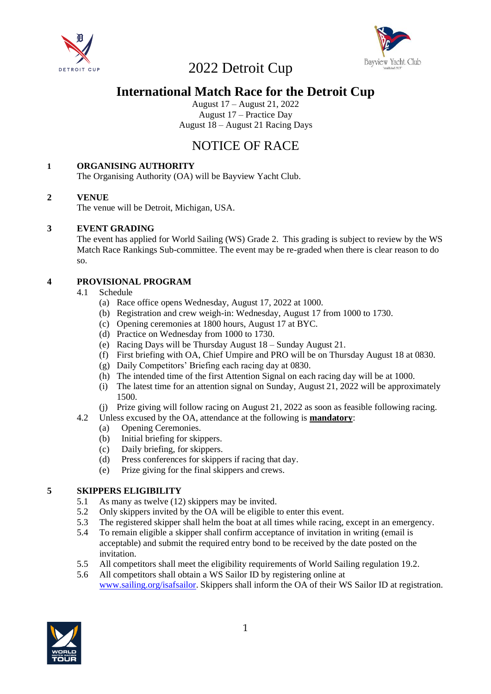



### **International Match Race for the Detroit Cup**

August 17 – August 21, 2022 August 17 – Practice Day August 18 – August 21 Racing Days

## NOTICE OF RACE

#### **1 ORGANISING AUTHORITY**

The Organising Authority (OA) will be Bayview Yacht Club.

#### **2 VENUE**

The venue will be Detroit, Michigan, USA.

#### **3 EVENT GRADING**

The event has applied for World Sailing (WS) Grade 2. This grading is subject to review by the WS Match Race Rankings Sub-committee. The event may be re-graded when there is clear reason to do so.

#### **4 PROVISIONAL PROGRAM**

- 4.1 Schedule
	- (a) Race office opens Wednesday, August 17, 2022 at 1000.
	- (b) Registration and crew weigh-in: Wednesday, August 17 from 1000 to 1730.
	- (c) Opening ceremonies at 1800 hours, August 17 at BYC.
	- (d) Practice on Wednesday from 1000 to 1730.
	- (e) Racing Days will be Thursday August 18 Sunday August 21.
	- (f) First briefing with OA, Chief Umpire and PRO will be on Thursday August 18 at 0830.
	- (g) Daily Competitors' Briefing each racing day at 0830.
	- (h) The intended time of the first Attention Signal on each racing day will be at 1000.
	- (i) The latest time for an attention signal on Sunday, August 21, 2022 will be approximately 1500.
	- (j) Prize giving will follow racing on August 21, 2022 as soon as feasible following racing.
- 4.2 Unless excused by the OA, attendance at the following is **mandatory**:
	- (a) Opening Ceremonies.
	- (b) Initial briefing for skippers.
	- (c) Daily briefing, for skippers.
	- (d) Press conferences for skippers if racing that day.
	- (e) Prize giving for the final skippers and crews.

#### **5 SKIPPERS ELIGIBILITY**

- 5.1 As many as twelve (12) skippers may be invited.
- 5.2 Only skippers invited by the OA will be eligible to enter this event.
- 5.3 The registered skipper shall helm the boat at all times while racing, except in an emergency.
- 5.4 To remain eligible a skipper shall confirm acceptance of invitation in writing (email is acceptable) and submit the required entry bond to be received by the date posted on the invitation.
- 5.5 All competitors shall meet the eligibility requirements of World Sailing regulation 19.2.
- 5.6 All competitors shall obtain a WS Sailor ID by registering online at [www.sailing.org/isafsailor.](http://www.sailing.org/isafsailor) Skippers shall inform the OA of their WS Sailor ID at registration.

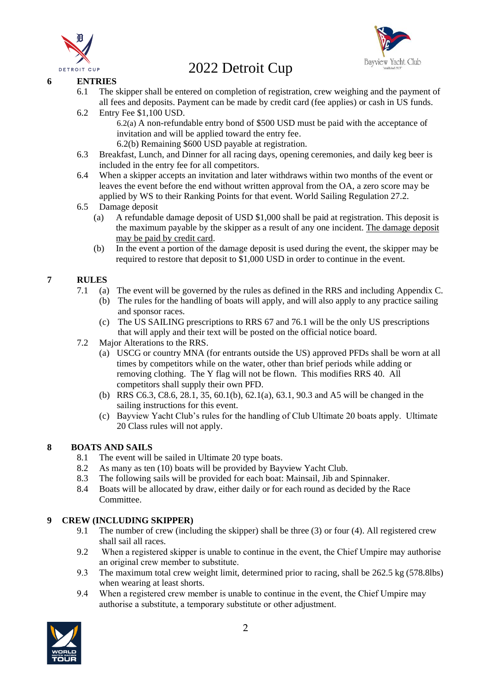



#### **6 ENTRIES**

- 6.1 The skipper shall be entered on completion of registration, crew weighing and the payment of all fees and deposits. Payment can be made by credit card (fee applies) or cash in US funds.
- 6.2 Entry Fee \$1,100 USD.

6.2(a) A non-refundable entry bond of \$500 USD must be paid with the acceptance of invitation and will be applied toward the entry fee.

- 6.2(b) Remaining \$600 USD payable at registration.
- 6.3 Breakfast, Lunch, and Dinner for all racing days, opening ceremonies, and daily keg beer is included in the entry fee for all competitors.
- 6.4 When a skipper accepts an invitation and later withdraws within two months of the event or leaves the event before the end without written approval from the OA, a zero score may be applied by WS to their Ranking Points for that event. World Sailing Regulation 27.2.
- 6.5 Damage deposit
	- (a) A refundable damage deposit of USD \$1,000 shall be paid at registration. This deposit is the maximum payable by the skipper as a result of any one incident. The damage deposit may be paid by credit card.
	- (b) In the event a portion of the damage deposit is used during the event, the skipper may be required to restore that deposit to \$1,000 USD in order to continue in the event.

#### **7 RULES**

- 7.1 (a) The event will be governed by the rules as defined in the RRS and including Appendix C.
	- (b) The rules for the handling of boats will apply, and will also apply to any practice sailing and sponsor races.
		- (c) The US SAILING prescriptions to RRS 67 and 76.1 will be the only US prescriptions that will apply and their text will be posted on the official notice board.
- 7.2 Major Alterations to the RRS.
	- (a) USCG or country MNA (for entrants outside the US) approved PFDs shall be worn at all times by competitors while on the water, other than brief periods while adding or removing clothing. The Y flag will not be flown. This modifies RRS 40. All competitors shall supply their own PFD.
	- (b) RRS C6.3, C8.6, 28.1, 35, 60.1(b), 62.1(a), 63.1, 90.3 and A5 will be changed in the sailing instructions for this event.
	- (c) Bayview Yacht Club's rules for the handling of Club Ultimate 20 boats apply. Ultimate 20 Class rules will not apply.

#### **8 BOATS AND SAILS**

- 8.1 The event will be sailed in Ultimate 20 type boats.
- 8.2 As many as ten (10) boats will be provided by Bayview Yacht Club.
- 8.3 The following sails will be provided for each boat: Mainsail, Jib and Spinnaker.
- 8.4 Boats will be allocated by draw, either daily or for each round as decided by the Race Committee.

#### **9 CREW (INCLUDING SKIPPER)**

- 9.1 The number of crew (including the skipper) shall be three (3) or four (4). All registered crew shall sail all races.
- 9.2 When a registered skipper is unable to continue in the event, the Chief Umpire may authorise an original crew member to substitute.
- 9.3 The maximum total crew weight limit, determined prior to racing, shall be 262.5 kg (578.8lbs) when wearing at least shorts.
- 9.4 When a registered crew member is unable to continue in the event, the Chief Umpire may authorise a substitute, a temporary substitute or other adjustment.

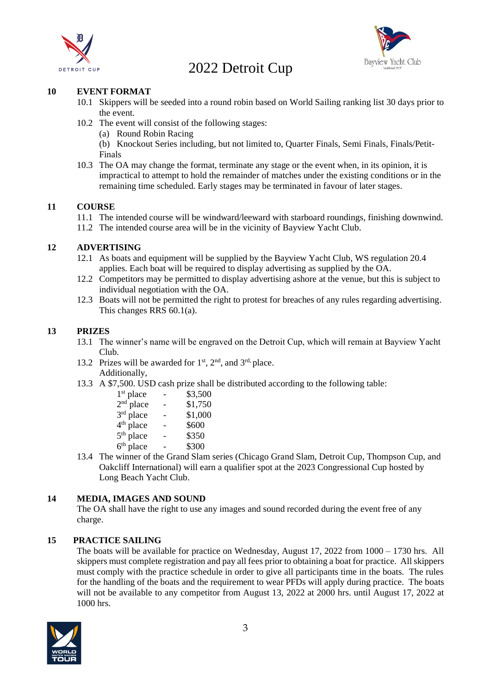



#### **10 EVENT FORMAT**

- 10.1 Skippers will be seeded into a round robin based on World Sailing ranking list 30 days prior to the event.
- 10.2 The event will consist of the following stages:
	- (a) Round Robin Racing
	- (b) Knockout Series including, but not limited to, Quarter Finals, Semi Finals, Finals/Petit-Finals
- 10.3 The OA may change the format, terminate any stage or the event when, in its opinion, it is impractical to attempt to hold the remainder of matches under the existing conditions or in the remaining time scheduled. Early stages may be terminated in favour of later stages.

#### **11 COURSE**

- 11.1 The intended course will be windward/leeward with starboard roundings, finishing downwind.
- 11.2 The intended course area will be in the vicinity of Bayview Yacht Club.

#### **12 ADVERTISING**

- 12.1 As boats and equipment will be supplied by the Bayview Yacht Club, WS regulation 20.4 applies. Each boat will be required to display advertising as supplied by the OA.
- 12.2 Competitors may be permitted to display advertising ashore at the venue, but this is subject to individual negotiation with the OA.
- 12.3 Boats will not be permitted the right to protest for breaches of any rules regarding advertising. This changes RRS 60.1(a).

#### **13 PRIZES**

- 13.1 The winner's name will be engraved on the Detroit Cup, which will remain at Bayview Yacht Club.
- 13.2 Prizes will be awarded for  $1<sup>st</sup>$ ,  $2<sup>nd</sup>$ , and  $3<sup>rd</sup>$ , place. Additionally,
- 13.3 A \$7,500. USD cash prize shall be distributed according to the following table:

| 1 <sup>st</sup> place |   | \$3,500 |
|-----------------------|---|---------|
| $2nd$ place           | - | \$1,750 |
| 3 <sup>rd</sup> place | - | \$1,000 |
| 4 <sup>th</sup> place |   | \$600   |
| 5 <sup>th</sup> place |   | \$350   |
| $6th$ place           |   | \$300   |
|                       |   |         |

13.4 The winner of the Grand Slam series (Chicago Grand Slam, Detroit Cup, Thompson Cup, and Oakcliff International) will earn a qualifier spot at the 2023 Congressional Cup hosted by Long Beach Yacht Club.

#### **14 MEDIA, IMAGES AND SOUND**

The OA shall have the right to use any images and sound recorded during the event free of any charge.

#### **15 PRACTICE SAILING**

The boats will be available for practice on Wednesday, August 17, 2022 from 1000 – 1730 hrs. All skippers must complete registration and pay all fees prior to obtaining a boat for practice. All skippers must comply with the practice schedule in order to give all participants time in the boats. The rules for the handling of the boats and the requirement to wear PFDs will apply during practice. The boats will not be available to any competitor from August 13, 2022 at 2000 hrs. until August 17, 2022 at 1000 hrs.

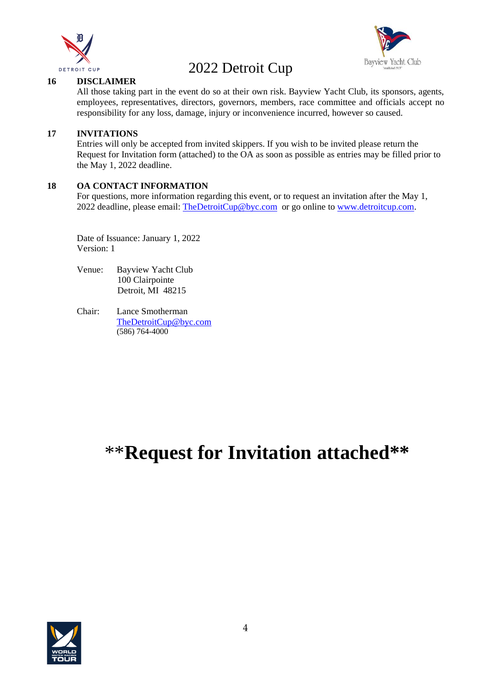



#### **16 DISCLAIMER**

All those taking part in the event do so at their own risk. Bayview Yacht Club, its sponsors, agents, employees, representatives, directors, governors, members, race committee and officials accept no responsibility for any loss, damage, injury or inconvenience incurred, however so caused.

#### **17 INVITATIONS**

Entries will only be accepted from invited skippers. If you wish to be invited please return the Request for Invitation form (attached) to the OA as soon as possible as entries may be filled prior to the May 1, 2022 deadline.

#### **18 OA CONTACT INFORMATION**

For questions, more information regarding this event, or to request an invitation after the May 1, 2022 deadline, please email: [TheDetroitCup@byc.com](mailto:TheDetroitCup@byc.com) or go online to [www.detroitcup.com.](http://www.detroitcup.com/)

Date of Issuance: January 1, 2022 Version: 1

- Venue: Bayview Yacht Club 100 Clairpointe Detroit, MI 48215
- Chair: Lance Smotherman [TheDetroitCup@byc.com](mailto:TheDetroitCup@byc.com) (586) 764-4000

# \*\***Request for Invitation attached\*\***